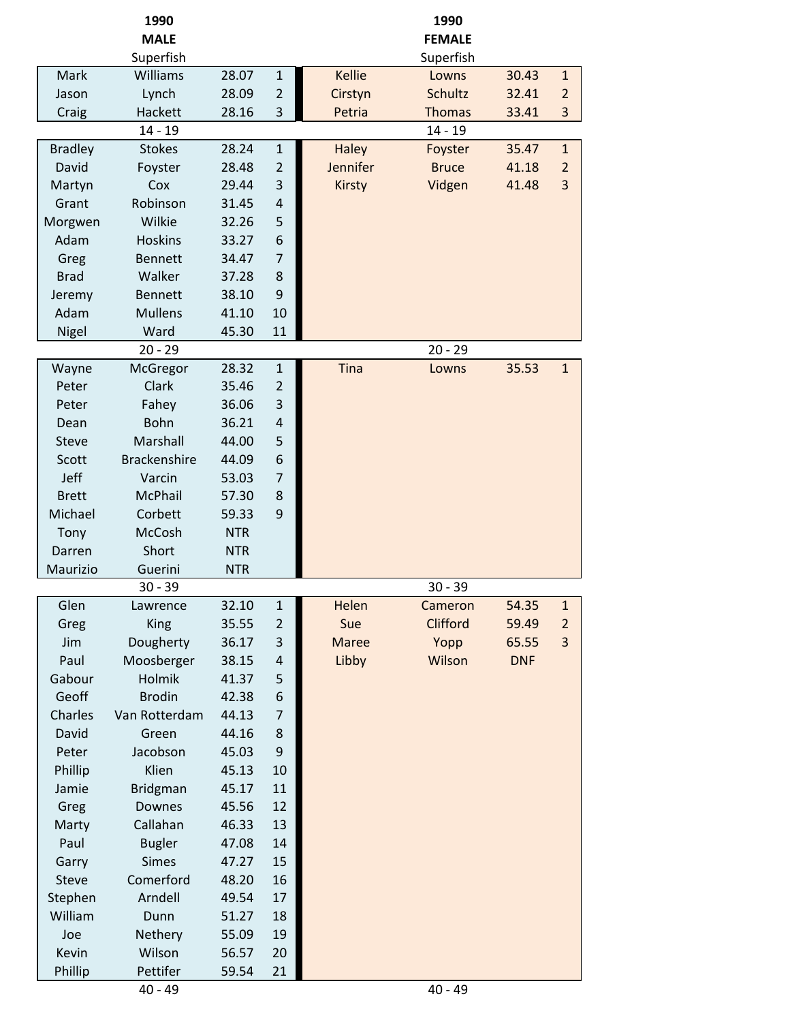|                | 1990<br><b>MALE</b> |            |                |               | 1990<br><b>FEMALE</b> |            |                |
|----------------|---------------------|------------|----------------|---------------|-----------------------|------------|----------------|
|                | Superfish           |            |                |               | Superfish             |            |                |
| Mark           | Williams            | 28.07      | $\mathbf{1}$   | <b>Kellie</b> | Lowns                 | 30.43      | $\mathbf{1}$   |
| Jason          | Lynch               | 28.09      | $\overline{2}$ | Cirstyn       | <b>Schultz</b>        | 32.41      | $\overline{2}$ |
| Craig          | Hackett             | 28.16      | 3              | Petria        | <b>Thomas</b>         | 33.41      | 3              |
|                | $14 - 19$           |            |                |               | $14 - 19$             |            |                |
| <b>Bradley</b> | <b>Stokes</b>       | 28.24      | $\mathbf{1}$   | <b>Haley</b>  | Foyster               | 35.47      | $\mathbf{1}$   |
| David          | Foyster             | 28.48      | $\overline{2}$ | Jennifer      | <b>Bruce</b>          | 41.18      | $\overline{2}$ |
| Martyn         | Cox                 | 29.44      | 3              | <b>Kirsty</b> | Vidgen                | 41.48      | 3              |
| Grant          | Robinson            | 31.45      | $\overline{4}$ |               |                       |            |                |
| Morgwen        | Wilkie              | 32.26      | 5              |               |                       |            |                |
| Adam           | <b>Hoskins</b>      | 33.27      | 6              |               |                       |            |                |
| Greg           | <b>Bennett</b>      | 34.47      | $\overline{7}$ |               |                       |            |                |
| <b>Brad</b>    | Walker              | 37.28      | 8              |               |                       |            |                |
| Jeremy         | <b>Bennett</b>      | 38.10      | 9              |               |                       |            |                |
| Adam           | <b>Mullens</b>      | 41.10      | 10             |               |                       |            |                |
| Nigel          | Ward                | 45.30      | 11             |               |                       |            |                |
|                | $20 - 29$           |            |                |               | $20 - 29$             |            |                |
| Wayne          | McGregor            | 28.32      | $\mathbf{1}$   | Tina          | Lowns                 | 35.53      | $\mathbf{1}$   |
| Peter          | Clark               | 35.46      | $\overline{2}$ |               |                       |            |                |
| Peter          | Fahey               | 36.06      | 3              |               |                       |            |                |
| Dean           | Bohn                | 36.21      | $\overline{4}$ |               |                       |            |                |
| <b>Steve</b>   | Marshall            | 44.00      | 5              |               |                       |            |                |
| Scott          | <b>Brackenshire</b> | 44.09      | 6              |               |                       |            |                |
| Jeff           | Varcin              | 53.03      | $\overline{7}$ |               |                       |            |                |
| <b>Brett</b>   | <b>McPhail</b>      | 57.30      | 8              |               |                       |            |                |
| Michael        | Corbett             | 59.33      | 9              |               |                       |            |                |
| Tony           | McCosh              | <b>NTR</b> |                |               |                       |            |                |
| Darren         | Short               | <b>NTR</b> |                |               |                       |            |                |
| Maurizio       | Guerini             | <b>NTR</b> |                |               |                       |            |                |
|                | $30 - 39$           |            |                |               | $30 - 39$             |            |                |
| Glen           | Lawrence            | 32.10      | $\mathbf{1}$   | Helen         | Cameron               | 54.35      | $\mathbf{1}$   |
| Greg           | <b>King</b>         | 35.55      | $\overline{2}$ | Sue           | Clifford              | 59.49      | $\overline{2}$ |
| Jim            | Dougherty           | 36.17      | 3              | <b>Maree</b>  | Yopp                  | 65.55      | 3              |
| Paul           | Moosberger          | 38.15      | 4              | Libby         | Wilson                | <b>DNF</b> |                |
| Gabour         | Holmik              | 41.37      | 5              |               |                       |            |                |
| Geoff          | <b>Brodin</b>       | 42.38      | 6              |               |                       |            |                |
| Charles        | Van Rotterdam       | 44.13      | $\overline{7}$ |               |                       |            |                |
| David          | Green               | 44.16      | 8              |               |                       |            |                |
| Peter          | Jacobson            | 45.03      | 9              |               |                       |            |                |
| Phillip        | Klien               | 45.13      | 10             |               |                       |            |                |
| Jamie          | <b>Bridgman</b>     | 45.17      | 11             |               |                       |            |                |
| Greg           | Downes              | 45.56      | 12             |               |                       |            |                |
| Marty          | Callahan            | 46.33      | 13             |               |                       |            |                |
| Paul           | <b>Bugler</b>       | 47.08      | 14             |               |                       |            |                |
| Garry          | <b>Simes</b>        | 47.27      | 15             |               |                       |            |                |
| Steve          | Comerford           | 48.20      | 16             |               |                       |            |                |
| Stephen        | Arndell             | 49.54      | 17             |               |                       |            |                |
| William        | Dunn                | 51.27      | 18             |               |                       |            |                |
| Joe            | Nethery             | 55.09      | 19             |               |                       |            |                |
| Kevin          | Wilson              | 56.57      | 20             |               |                       |            |                |
| Phillip        | Pettifer            | 59.54      | 21             |               |                       |            |                |
|                | $40 - 49$           |            |                |               | $40 - 49$             |            |                |